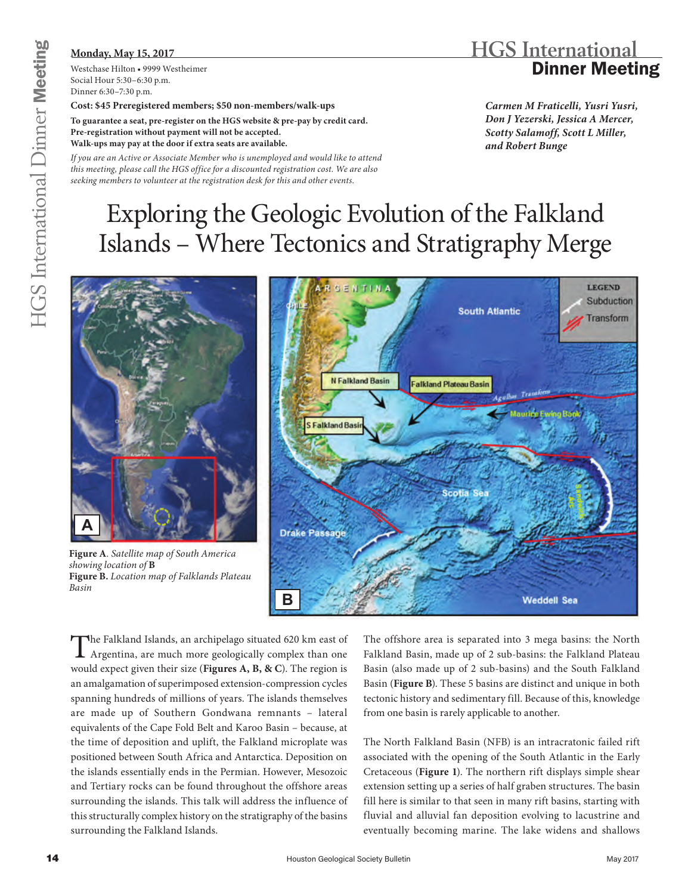### **Monday, May 15, 2017**

Westchase Hilton • 9999 Westheimer Social Hour 5:30–6:30 p.m. Dinner 6:30–7:30 p.m.

#### **Cost: \$45 Preregistered members; \$50 non-members/walk-ups**

**To guarantee a seat, pre-register on the HGS website & pre-pay by credit card. Pre-registration without payment will not be accepted. Walk-ups may pay at the door if extra seats are available.**

*If you are an Active or Associate Member who is unemployed and would like to attend this meeting, please call the HGS office for a discounted registration cost. We are also seeking members to volunteer at the registration desk for this and other events.*

## **HGS International** Dinner Meeting

*Carmen M Fraticelli, Yusri Yusri, Don J Yezerski, Jessica A Mercer, Scotty Salamoff, Scott L Miller, and Robert Bunge*

# Exploring the Geologic Evolution of the Falkland Islands – Where Tectonics and Stratigraphy Merge



**Figure A***. Satellite map of South America showing location of* **B Figure B.** *Location map of Falklands Plateau Basin*



The Falkland Islands, an archipelago situated 620 km east of Argentina, are much more geologically complex than one would expect given their size (**Figures A, B, & C**). The region is an amalgamation of superimposed extension-compression cycles spanning hundreds of millions of years. The islands themselves are made up of Southern Gondwana remnants – lateral equivalents of the Cape Fold Belt and Karoo Basin – because, at the time of deposition and uplift, the Falkland microplate was positioned between South Africa and Antarctica. Deposition on the islands essentially ends in the Permian. However, Mesozoic and Tertiary rocks can be found throughout the offshore areas surrounding the islands. This talk will address the influence of this structurally complex history on the stratigraphy of the basins surrounding the Falkland Islands.

The offshore area is separated into 3 mega basins: the North Falkland Basin, made up of 2 sub-basins: the Falkland Plateau Basin (also made up of 2 sub-basins) and the South Falkland Basin (**Figure B**). These 5 basins are distinct and unique in both tectonic history and sedimentary fill. Because of this, knowledge from one basin is rarely applicable to another.

The North Falkland Basin (NFB) is an intracratonic failed rift associated with the opening of the South Atlantic in the Early Cretaceous (**Figure 1**). The northern rift displays simple shear extension setting up a series of half graben structures. The basin fill here is similar to that seen in many rift basins, starting with fluvial and alluvial fan deposition evolving to lacustrine and eventually becoming marine. The lake widens and shallows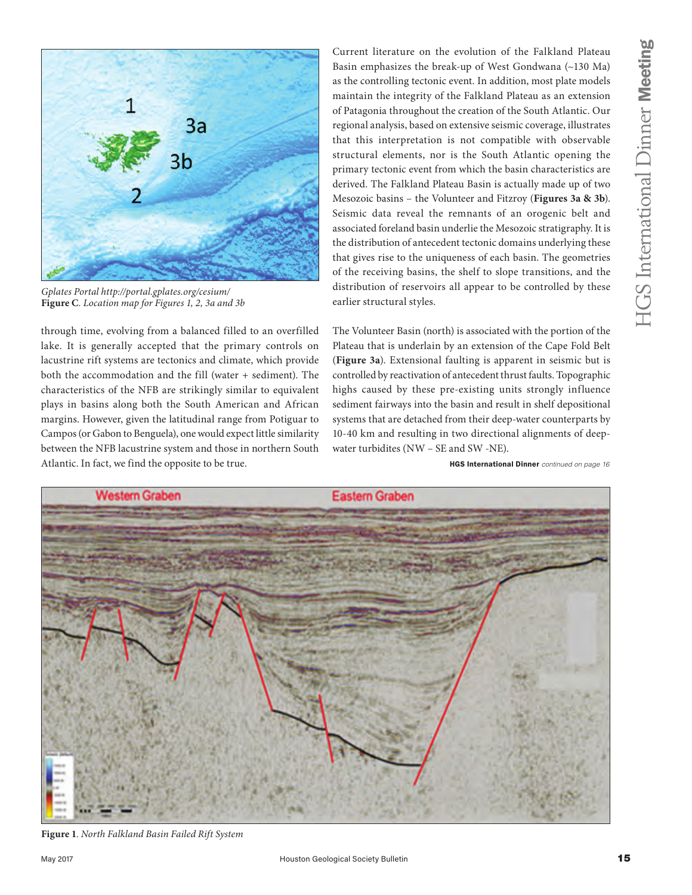

*[Gplates Portal http://portal.gplates.org/cesium/](http://portal.gplates.org/cesium/)* **Figure C***. Location map for Figures 1, 2, 3a and 3b*

through time, evolving from a balanced filled to an overfilled lake. It is generally accepted that the primary controls on lacustrine rift systems are tectonics and climate, which provide both the accommodation and the fill (water + sediment). The characteristics of the NFB are strikingly similar to equivalent plays in basins along both the South American and African margins. However, given the latitudinal range from Potiguar to Campos (or Gabon to Benguela), one would expect little similarity between the NFB lacustrine system and those in northern South Atlantic. In fact, we find the opposite to be true.

Current literature on the evolution of the Falkland Plateau Basin emphasizes the break-up of West Gondwana (~130 Ma) as the controlling tectonic event. In addition, most plate models maintain the integrity of the Falkland Plateau as an extension of Patagonia throughout the creation of the South Atlantic. Our regional analysis, based on extensive seismic coverage, illustrates that this interpretation is not compatible with observable structural elements, nor is the South Atlantic opening the primary tectonic event from which the basin characteristics are derived. The Falkland Plateau Basin is actually made up of two Mesozoic basins – the Volunteer and Fitzroy (**Figures 3a & 3b**). Seismic data reveal the remnants of an orogenic belt and associated foreland basin underlie the Mesozoic stratigraphy. It is the distribution of antecedent tectonic domains underlying these that gives rise to the uniqueness of each basin. The geometries of the receiving basins, the shelf to slope transitions, and the distribution of reservoirs all appear to be controlled by these earlier structural styles.

The Volunteer Basin (north) is associated with the portion of the Plateau that is underlain by an extension of the Cape Fold Belt (**Figure 3a**). Extensional faulting is apparent in seismic but is controlled by reactivation of antecedent thrust faults. Topographic highs caused by these pre-existing units strongly influence sediment fairways into the basin and result in shelf depositional systems that are detached from their deep-water counterparts by 10-40 km and resulting in two directional alignments of deepwater turbidites (NW – SE and SW -NE).

HGS International Dinner *continued on page 16*



**Figure 1***. North Falkland Basin Failed Rift System*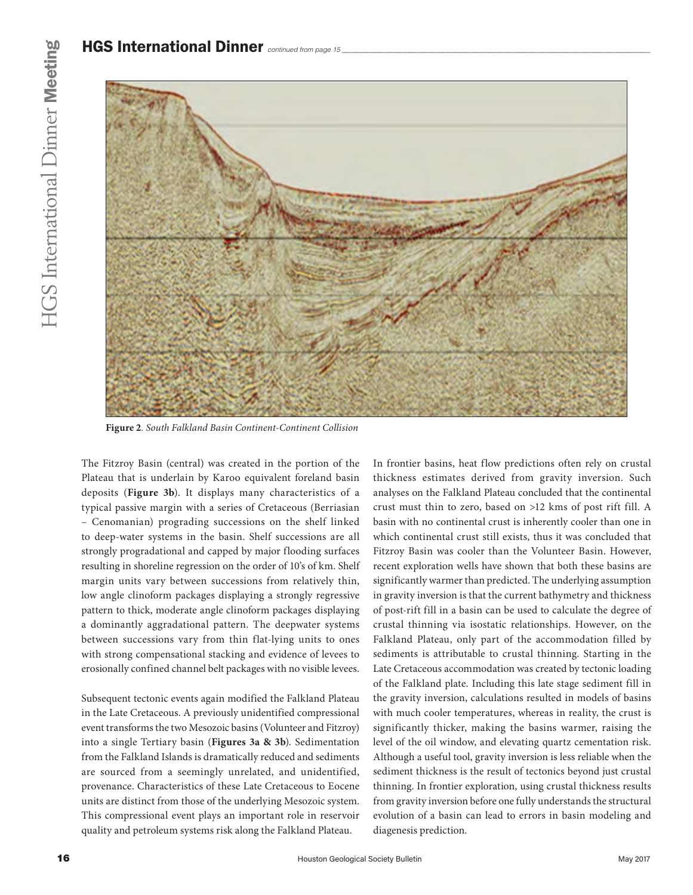

**Figure 2***. South Falkland Basin Continent-Continent Collision*

The Fitzroy Basin (central) was created in the portion of the Plateau that is underlain by Karoo equivalent foreland basin deposits (**Figure 3b**). It displays many characteristics of a typical passive margin with a series of Cretaceous (Berriasian – Cenomanian) prograding successions on the shelf linked to deep-water systems in the basin. Shelf successions are all strongly progradational and capped by major flooding surfaces resulting in shoreline regression on the order of 10's of km. Shelf margin units vary between successions from relatively thin, low angle clinoform packages displaying a strongly regressive pattern to thick, moderate angle clinoform packages displaying a dominantly aggradational pattern. The deepwater systems between successions vary from thin flat-lying units to ones with strong compensational stacking and evidence of levees to erosionally confined channel belt packages with no visible levees.

Subsequent tectonic events again modified the Falkland Plateau in the Late Cretaceous. A previously unidentified compressional event transforms the two Mesozoic basins (Volunteer and Fitzroy) into a single Tertiary basin (**Figures 3a & 3b**). Sedimentation from the Falkland Islands is dramatically reduced and sediments are sourced from a seemingly unrelated, and unidentified, provenance. Characteristics of these Late Cretaceous to Eocene units are distinct from those of the underlying Mesozoic system. This compressional event plays an important role in reservoir quality and petroleum systems risk along the Falkland Plateau.

In frontier basins, heat flow predictions often rely on crustal thickness estimates derived from gravity inversion. Such analyses on the Falkland Plateau concluded that the continental crust must thin to zero, based on >12 kms of post rift fill. A basin with no continental crust is inherently cooler than one in which continental crust still exists, thus it was concluded that Fitzroy Basin was cooler than the Volunteer Basin. However, recent exploration wells have shown that both these basins are significantly warmer than predicted. The underlying assumption in gravity inversion is that the current bathymetry and thickness of post-rift fill in a basin can be used to calculate the degree of crustal thinning via isostatic relationships. However, on the Falkland Plateau, only part of the accommodation filled by sediments is attributable to crustal thinning. Starting in the Late Cretaceous accommodation was created by tectonic loading of the Falkland plate. Including this late stage sediment fill in the gravity inversion, calculations resulted in models of basins with much cooler temperatures, whereas in reality, the crust is significantly thicker, making the basins warmer, raising the level of the oil window, and elevating quartz cementation risk. Although a useful tool, gravity inversion is less reliable when the sediment thickness is the result of tectonics beyond just crustal thinning. In frontier exploration, using crustal thickness results from gravity inversion before one fully understands the structural evolution of a basin can lead to errors in basin modeling and diagenesis prediction.